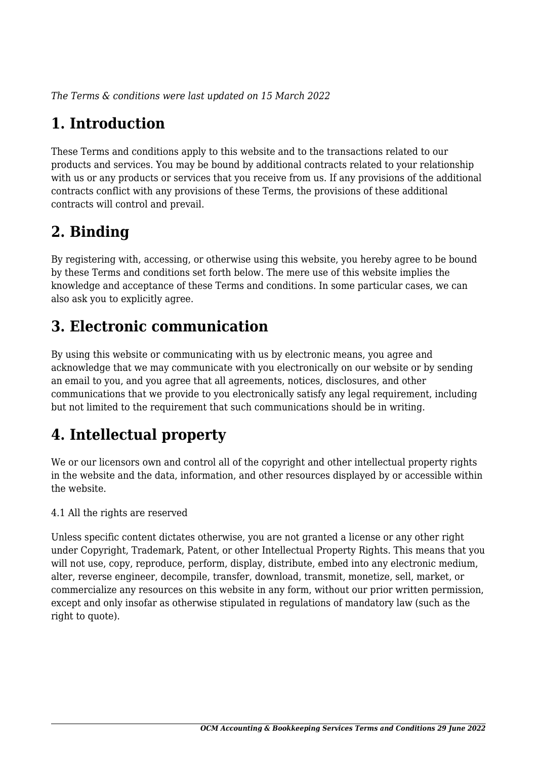*The Terms & conditions were last updated on 15 March 2022*

# **1. Introduction**

These Terms and conditions apply to this website and to the transactions related to our products and services. You may be bound by additional contracts related to your relationship with us or any products or services that you receive from us. If any provisions of the additional contracts conflict with any provisions of these Terms, the provisions of these additional contracts will control and prevail.

# **2. Binding**

By registering with, accessing, or otherwise using this website, you hereby agree to be bound by these Terms and conditions set forth below. The mere use of this website implies the knowledge and acceptance of these Terms and conditions. In some particular cases, we can also ask you to explicitly agree.

# **3. Electronic communication**

By using this website or communicating with us by electronic means, you agree and acknowledge that we may communicate with you electronically on our website or by sending an email to you, and you agree that all agreements, notices, disclosures, and other communications that we provide to you electronically satisfy any legal requirement, including but not limited to the requirement that such communications should be in writing.

# **4. Intellectual property**

We or our licensors own and control all of the copyright and other intellectual property rights in the website and the data, information, and other resources displayed by or accessible within the website.

4.1 All the rights are reserved

Unless specific content dictates otherwise, you are not granted a license or any other right under Copyright, Trademark, Patent, or other Intellectual Property Rights. This means that you will not use, copy, reproduce, perform, display, distribute, embed into any electronic medium, alter, reverse engineer, decompile, transfer, download, transmit, monetize, sell, market, or commercialize any resources on this website in any form, without our prior written permission, except and only insofar as otherwise stipulated in regulations of mandatory law (such as the right to quote).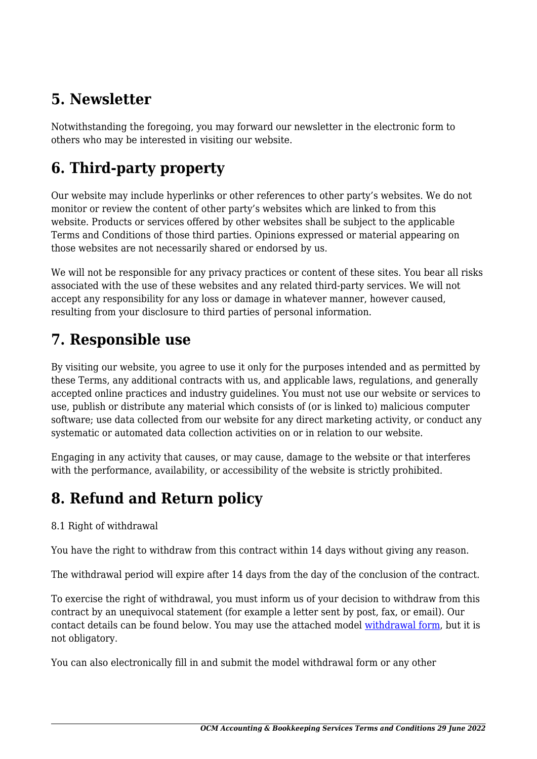# **5. Newsletter**

Notwithstanding the foregoing, you may forward our newsletter in the electronic form to others who may be interested in visiting our website.

# **6. Third-party property**

Our website may include hyperlinks or other references to other party's websites. We do not monitor or review the content of other party's websites which are linked to from this website. Products or services offered by other websites shall be subject to the applicable Terms and Conditions of those third parties. Opinions expressed or material appearing on those websites are not necessarily shared or endorsed by us.

We will not be responsible for any privacy practices or content of these sites. You bear all risks associated with the use of these websites and any related third-party services. We will not accept any responsibility for any loss or damage in whatever manner, however caused, resulting from your disclosure to third parties of personal information.

### **7. Responsible use**

By visiting our website, you agree to use it only for the purposes intended and as permitted by these Terms, any additional contracts with us, and applicable laws, regulations, and generally accepted online practices and industry guidelines. You must not use our website or services to use, publish or distribute any material which consists of (or is linked to) malicious computer software; use data collected from our website for any direct marketing activity, or conduct any systematic or automated data collection activities on or in relation to our website.

Engaging in any activity that causes, or may cause, damage to the website or that interferes with the performance, availability, or accessibility of the website is strictly prohibited.

# **8. Refund and Return policy**

#### 8.1 Right of withdrawal

You have the right to withdraw from this contract within 14 days without giving any reason.

The withdrawal period will expire after 14 days from the day of the conclusion of the contract.

To exercise the right of withdrawal, you must inform us of your decision to withdraw from this contract by an unequivocal statement (for example a letter sent by post, fax, or email). Our contact details can be found below. You may use the attached model [withdrawal form](https://ocmaccounting.com/wp-content/uploads/complianz/withdrawal-forms/withdrawal-form-en.pdf), but it is not obligatory.

You can also electronically fill in and submit the model withdrawal form or any other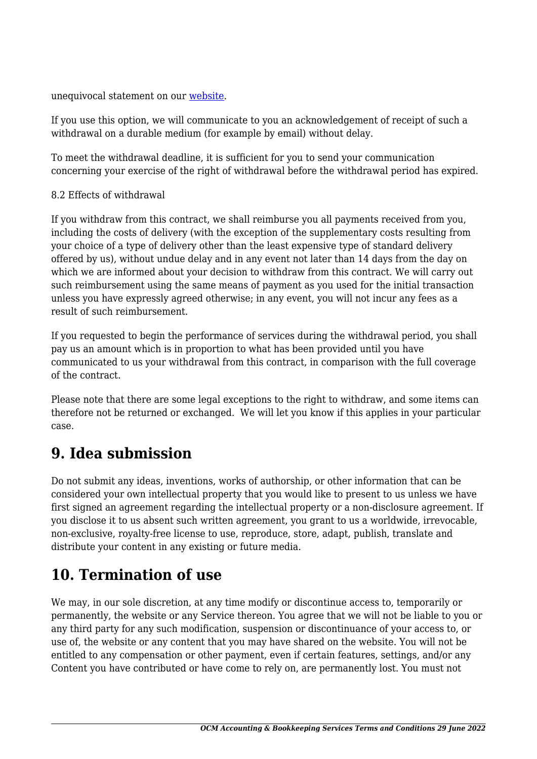unequivocal statement on our [website](https://ocmaccounting.com/contact/).

If you use this option, we will communicate to you an acknowledgement of receipt of such a withdrawal on a durable medium (for example by email) without delay.

To meet the withdrawal deadline, it is sufficient for you to send your communication concerning your exercise of the right of withdrawal before the withdrawal period has expired.

#### 8.2 Effects of withdrawal

If you withdraw from this contract, we shall reimburse you all payments received from you, including the costs of delivery (with the exception of the supplementary costs resulting from your choice of a type of delivery other than the least expensive type of standard delivery offered by us), without undue delay and in any event not later than 14 days from the day on which we are informed about your decision to withdraw from this contract. We will carry out such reimbursement using the same means of payment as you used for the initial transaction unless you have expressly agreed otherwise; in any event, you will not incur any fees as a result of such reimbursement.

If you requested to begin the performance of services during the withdrawal period, you shall pay us an amount which is in proportion to what has been provided until you have communicated to us your withdrawal from this contract, in comparison with the full coverage of the contract.

Please note that there are some legal exceptions to the right to withdraw, and some items can therefore not be returned or exchanged. We will let you know if this applies in your particular case.

#### **9. Idea submission**

Do not submit any ideas, inventions, works of authorship, or other information that can be considered your own intellectual property that you would like to present to us unless we have first signed an agreement regarding the intellectual property or a non-disclosure agreement. If you disclose it to us absent such written agreement, you grant to us a worldwide, irrevocable, non-exclusive, royalty-free license to use, reproduce, store, adapt, publish, translate and distribute your content in any existing or future media.

#### **10. Termination of use**

We may, in our sole discretion, at any time modify or discontinue access to, temporarily or permanently, the website or any Service thereon. You agree that we will not be liable to you or any third party for any such modification, suspension or discontinuance of your access to, or use of, the website or any content that you may have shared on the website. You will not be entitled to any compensation or other payment, even if certain features, settings, and/or any Content you have contributed or have come to rely on, are permanently lost. You must not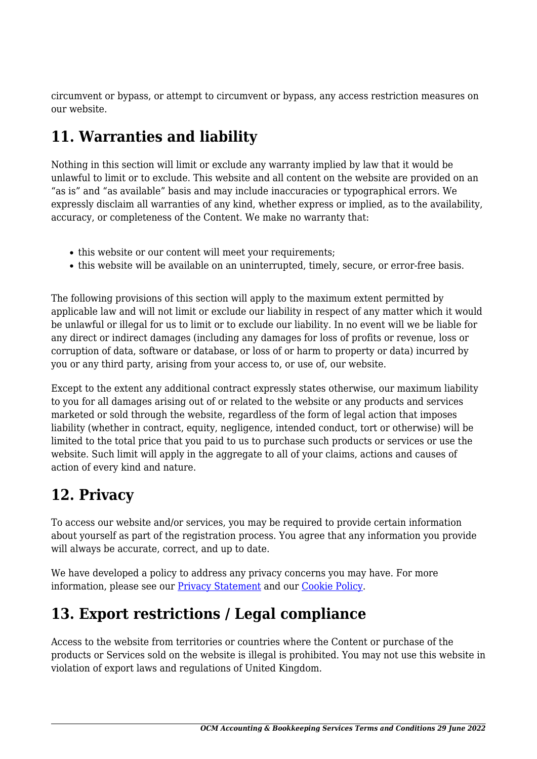circumvent or bypass, or attempt to circumvent or bypass, any access restriction measures on our website.

# **11. Warranties and liability**

Nothing in this section will limit or exclude any warranty implied by law that it would be unlawful to limit or to exclude. This website and all content on the website are provided on an "as is" and "as available" basis and may include inaccuracies or typographical errors. We expressly disclaim all warranties of any kind, whether express or implied, as to the availability, accuracy, or completeness of the Content. We make no warranty that:

- this website or our content will meet your requirements;
- this website will be available on an uninterrupted, timely, secure, or error-free basis.

The following provisions of this section will apply to the maximum extent permitted by applicable law and will not limit or exclude our liability in respect of any matter which it would be unlawful or illegal for us to limit or to exclude our liability. In no event will we be liable for any direct or indirect damages (including any damages for loss of profits or revenue, loss or corruption of data, software or database, or loss of or harm to property or data) incurred by you or any third party, arising from your access to, or use of, our website.

Except to the extent any additional contract expressly states otherwise, our maximum liability to you for all damages arising out of or related to the website or any products and services marketed or sold through the website, regardless of the form of legal action that imposes liability (whether in contract, equity, negligence, intended conduct, tort or otherwise) will be limited to the total price that you paid to us to purchase such products or services or use the website. Such limit will apply in the aggregate to all of your claims, actions and causes of action of every kind and nature.

### **12. Privacy**

To access our website and/or services, you may be required to provide certain information about yourself as part of the registration process. You agree that any information you provide will always be accurate, correct, and up to date.

We have developed a policy to address any privacy concerns you may have. For more information, please see our **Privacy Statement** and our [Cookie Policy](https://ocmaccounting.com/cookie-policy-uk/).

# **13. Export restrictions / Legal compliance**

Access to the website from territories or countries where the Content or purchase of the products or Services sold on the website is illegal is prohibited. You may not use this website in violation of export laws and regulations of United Kingdom.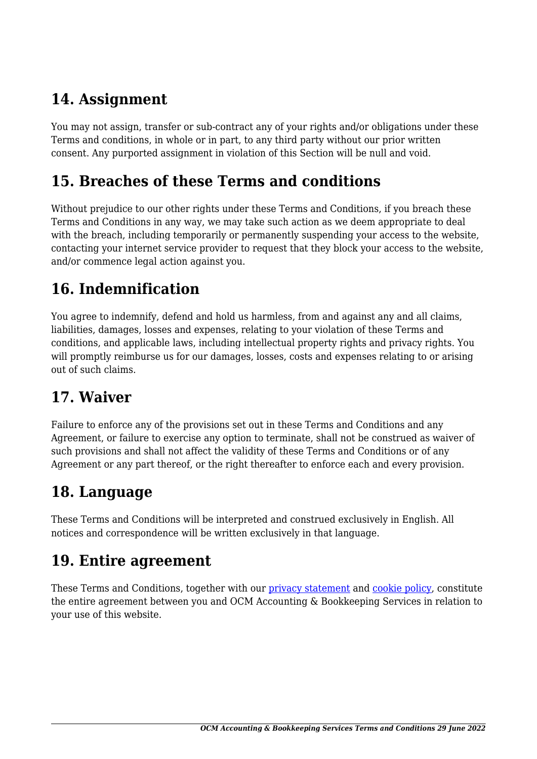# **14. Assignment**

You may not assign, transfer or sub-contract any of your rights and/or obligations under these Terms and conditions, in whole or in part, to any third party without our prior written consent. Any purported assignment in violation of this Section will be null and void.

#### **15. Breaches of these Terms and conditions**

Without prejudice to our other rights under these Terms and Conditions, if you breach these Terms and Conditions in any way, we may take such action as we deem appropriate to deal with the breach, including temporarily or permanently suspending your access to the website, contacting your internet service provider to request that they block your access to the website, and/or commence legal action against you.

# **16. Indemnification**

You agree to indemnify, defend and hold us harmless, from and against any and all claims, liabilities, damages, losses and expenses, relating to your violation of these Terms and conditions, and applicable laws, including intellectual property rights and privacy rights. You will promptly reimburse us for our damages, losses, costs and expenses relating to or arising out of such claims.

### **17. Waiver**

Failure to enforce any of the provisions set out in these Terms and Conditions and any Agreement, or failure to exercise any option to terminate, shall not be construed as waiver of such provisions and shall not affect the validity of these Terms and Conditions or of any Agreement or any part thereof, or the right thereafter to enforce each and every provision.

# **18. Language**

These Terms and Conditions will be interpreted and construed exclusively in English. All notices and correspondence will be written exclusively in that language.

#### **19. Entire agreement**

These Terms and Conditions, together with our [privacy statement](https://ocmaccounting.com/privacy-policy/) and [cookie policy,](https://ocmaccounting.com/cookie-policy-uk/) constitute the entire agreement between you and OCM Accounting & Bookkeeping Services in relation to your use of this website.